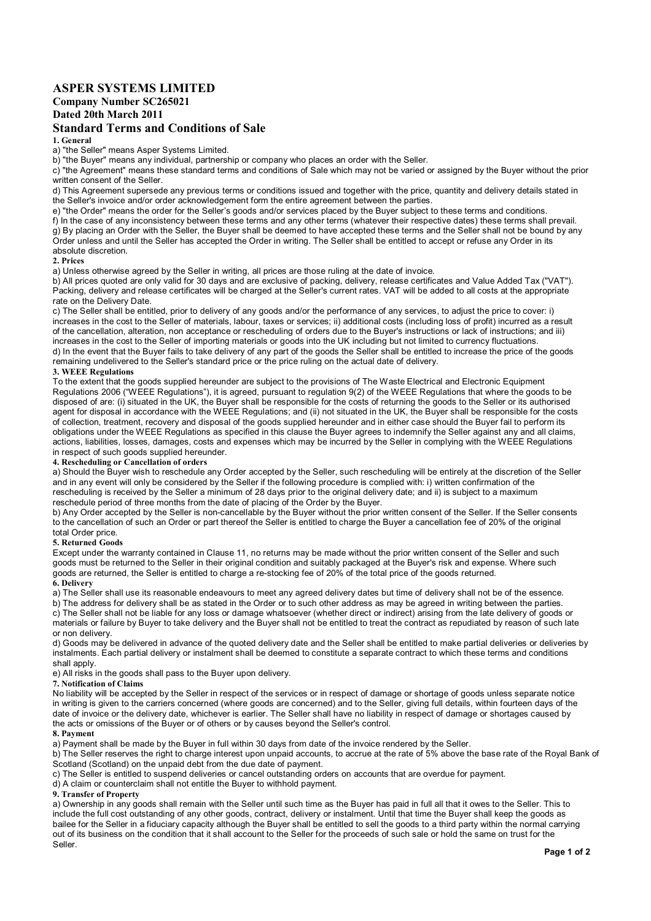# ASPER SYSTEMS LIMITED

# Company Number SC265021

Dated 20th March 2011

# Standard Terms and Conditions of Sale

1. General

a) "the Seller" means Asper Systems Limited.

b) "the Buyer" means any individual, partnership or company who places an order with the Seller.

c) "the Agreement" means these standard terms and conditions of Sale which may not be varied or assigned by the Buyer without the prior written consent of the Seller.

d) This Agreement supersede any previous terms or conditions issued and together with the price, quantity and delivery details stated in the Seller's invoice and/or order acknowledgement form the entire agreement between the parties.

e) "the Order" means the order for the Seller's goods and/or services placed by the Buyer subject to these terms and conditions.

f) In the case of any inconsistency between these terms and any other terms (whatever their respective dates) these terms shall prevail. g) By placing an Order with the Seller, the Buyer shall be deemed to have accepted these terms and the Seller shall not be bound by any Order unless and until the Seller has accepted the Order in writing. The Seller shall be entitled to accept or refuse any Order in its absolute discretion.

#### 2. Prices

a) Unless otherwise agreed by the Seller in writing, all prices are those ruling at the date of invoice.

b) All prices quoted are only valid for 30 days and are exclusive of packing, delivery, release certificates and Value Added Tax ("VAT"). Packing, delivery and release certificates will be charged at the Seller's current rates. VAT will be added to all costs at the appropriate rate on the Delivery Date.

c) The Seller shall be entitled, prior to delivery of any goods and/or the performance of any services, to adjust the price to cover: i) increases in the cost to the Seller of materials, labour, taxes or services; ii) additional costs (including loss of profit) incurred as a result of the cancellation, alteration, non acceptance or rescheduling of orders due to the Buyer's instructions or lack of instructions; and iii) increases in the cost to the Seller of importing materials or goods into the UK including but not limited to currency fluctuations. d) In the event that the Buyer fails to take delivery of any part of the goods the Seller shall be entitled to increase the price of the goods remaining undelivered to the Seller's standard price or the price ruling on the actual date of delivery.

## 3. WEEE Regulations

To the extent that the goods supplied hereunder are subject to the provisions of The Waste Electrical and Electronic Equipment Regulations 2006 ("WEEE Regulations"), it is agreed, pursuant to regulation 9(2) of the WEEE Regulations that where the goods to be disposed of are: (i) situated in the UK, the Buyer shall be responsible for the costs of returning the goods to the Seller or its authorised agent for disposal in accordance with the WEEE Regulations; and (ii) not situated in the UK, the Buyer shall be responsible for the costs of collection, treatment, recovery and disposal of the goods supplied hereunder and in either case should the Buyer fail to perform its obligations under the WEEE Regulations as specified in this clause the Buyer agrees to indemnify the Seller against any and all claims, actions, liabilities, losses, damages, costs and expenses which may be incurred by the Seller in complying with the WEEE Regulations in respect of such goods supplied hereunder.

# 4. Rescheduling or Cancellation of orders

a) Should the Buyer wish to reschedule any Order accepted by the Seller, such rescheduling will be entirely at the discretion of the Seller and in any event will only be considered by the Seller if the following procedure is complied with: i) written confirmation of the rescheduling is received by the Seller a minimum of 28 days prior to the original delivery date; and ii) is subject to a maximum reschedule period of three months from the date of placing of the Order by the Buyer.

b) Any Order accepted by the Seller is non-cancellable by the Buyer without the prior written consent of the Seller. If the Seller consents to the cancellation of such an Order or part thereof the Seller is entitled to charge the Buyer a cancellation fee of 20% of the original total Order price

### 5. Returned Goods

Except under the warranty contained in Clause 11, no returns may be made without the prior written consent of the Seller and such goods must be returned to the Seller in their original condition and suitably packaged at the Buyer's risk and expense. Where such goods are returned, the Seller is entitled to charge a re-stocking fee of 20% of the total price of the goods returned.

### 6. Delivery

a) The Seller shall use its reasonable endeavours to meet any agreed delivery dates but time of delivery shall not be of the essence.

b) The address for delivery shall be as stated in the Order or to such other address as may be agreed in writing between the parties. c) The Seller shall not be liable for any loss or damage whatsoever (whether direct or indirect) arising from the late delivery of goods or materials or failure by Buyer to take delivery and the Buyer shall not be entitled to treat the contract as repudiated by reason of such late or non delivery.

d) Goods may be delivered in advance of the quoted delivery date and the Seller shall be entitled to make partial deliveries or deliveries by instalments. Each partial delivery or instalment shall be deemed to constitute a separate contract to which these terms and conditions shall apply.

e) All risks in the goods shall pass to the Buyer upon delivery.

#### 7. Notification of Claims

No liability will be accepted by the Seller in respect of the services or in respect of damage or shortage of goods unless separate notice in writing is given to the carriers concerned (where goods are concerned) and to the Seller, giving full details, within fourteen days of the date of invoice or the delivery date, whichever is earlier. The Seller shall have no liability in respect of damage or shortages caused by the acts or omissions of the Buyer or of others or by causes beyond the Seller's control.

#### 8. Payment

a) Payment shall be made by the Buyer in full within 30 days from date of the invoice rendered by the Seller.

b) The Seller reserves the right to charge interest upon unpaid accounts, to accrue at the rate of 5% above the base rate of the Royal Bank of Scotland (Scotland) on the unpaid debt from the due date of payment.

c) The Seller is entitled to suspend deliveries or cancel outstanding orders on accounts that are overdue for payment.

d) A claim or counterclaim shall not entitle the Buyer to withhold payment.

### 9. Transfer of Property

a) Ownership in any goods shall remain with the Seller until such time as the Buyer has paid in full all that it owes to the Seller. This to include the full cost outstanding of any other goods, contract, delivery or instalment. Until that time the Buyer shall keep the goods as bailee for the Seller in a fiduciary capacity although the Buyer shall be entitled to sell the goods to a third party within the normal carrying out of its business on the condition that it shall account to the Seller for the proceeds of such sale or hold the same on trust for the Seller.